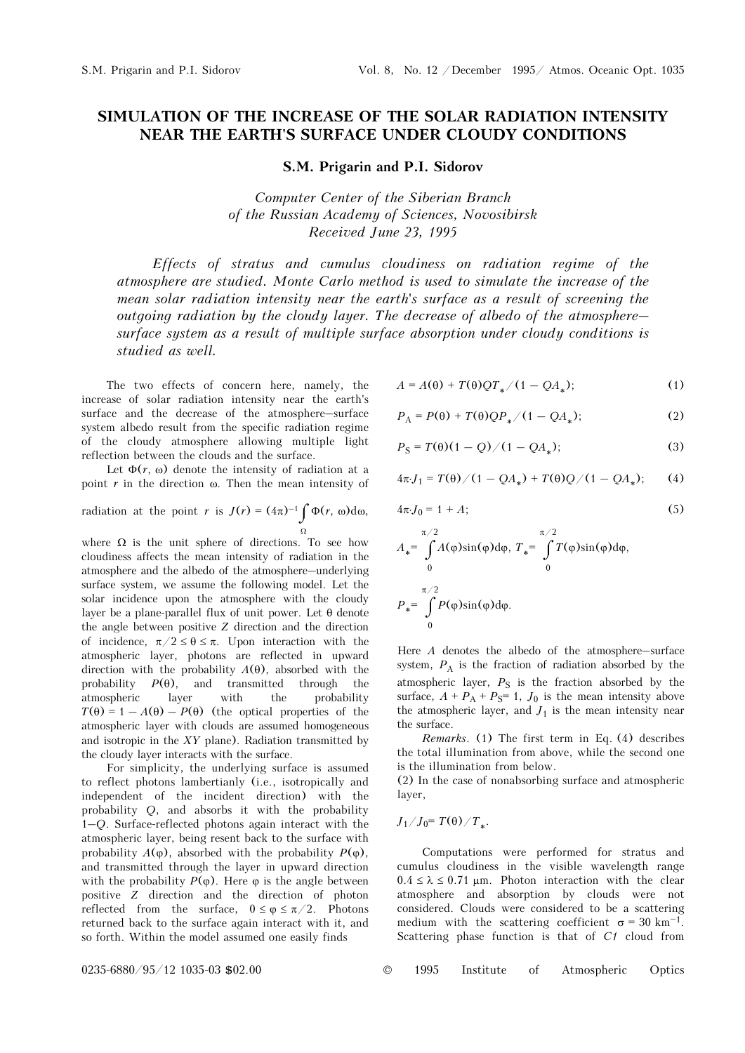## **SIMULATION OF THE INCREASE OF THE SOLAR RADIATION INTENSITY NEAR THE EARTH'S SURFACE UNDER CLOUDY CONDITIONS**

**S.M. Prigarin and P.I. Sidorov** 

*Computer Center of the Siberian Branch of the Russian Academy of Sciences, Novosibirsk Received June 23, 1995* 

*Effects of stratus and cumulus cloudiness on radiation regime of the atmosphere are studied. Monte Carlo method is used to simulate the increase of the mean solar radiation intensity near the earth's surface as a result of screening the outgoing radiation by the cloudy layer. The decrease of albedo of the atmosphere– surface system as a result of multiple surface absorption under cloudy conditions is studied as well.* 

The two effects of concern here, namely, the increase of solar radiation intensity near the earth's surface and the decrease of the atmosphere–surface system albedo result from the specific radiation regime of the cloudy atmosphere allowing multiple light reflection between the clouds and the surface.

Let  $\Phi(r, \omega)$  denote the intensity of radiation at a point  $r$  in the direction  $\omega$ . Then the mean intensity of

radiation at the point *r* is 
$$
J(r) = (4\pi)^{-1} \int_{\Omega} \Phi(r, \omega) d\omega
$$
,

where  $\Omega$  is the unit sphere of directions. To see how cloudiness affects the mean intensity of radiation in the atmosphere and the albedo of the atmosphere–underlying surface system, we assume the following model. Let the solar incidence upon the atmosphere with the cloudy layer be a plane-parallel flux of unit power. Let θ denote the angle between positive *Z* direction and the direction of incidence,  $\pi/2 \leq \theta \leq \pi$ . Upon interaction with the atmospheric layer, photons are reflected in upward direction with the probability  $A(\theta)$ , absorbed with the probability  $P(\theta)$ , and transmitted through the atmospheric layer with the probability  $T(\theta) = 1 - A(\theta) - P(\theta)$  (the optical properties of the atmospheric layer with clouds are assumed homogeneous and isotropic in the *XY* plane). Radiation transmitted by the cloudy layer interacts with the surface.

For simplicity, the underlying surface is assumed to reflect photons lambertianly (i.e., isotropically and independent of the incident direction) with the probability *Q*, and absorbs it with the probability 1–*Q*. Surface-reflected photons again interact with the atmospheric layer, being resent back to the surface with probability  $A(\varphi)$ , absorbed with the probability  $P(\varphi)$ , and transmitted through the layer in upward direction with the probability  $P(\varphi)$ . Here  $\varphi$  is the angle between positive *Z* direction and the direction of photon reflected from the surface,  $0 \le \varphi \le \pi/2$ . Photons returned back to the surface again interact with it, and so forth. Within the model assumed one easily finds

$$
A = A(\theta) + T(\theta)QT_*/(1 - QA_*); \tag{1}
$$

$$
P_{A} = P(\theta) + T(\theta)QP_{*}/(1 - QA_{*});
$$
 (2)

$$
P_{\rm S} = T(\theta)(1 - Q) / (1 - QA_*);
$$
 (3)

$$
4\pi J_1 = T(\theta)/(1 - QA_*) + T(\theta)Q/(1 - QA_*); \qquad (4)
$$

$$
4\pi \cdot J_0 = 1 + A; \tag{5}
$$

$$
A_* = \int_{0}^{\pi/2} A(\varphi) \sin(\varphi) d\varphi, T_* = \int_{0}^{\pi/2} T(\varphi) \sin(\varphi) d\varphi,
$$
  

$$
P_* = \int_{0}^{\pi/2} P(\varphi) \sin(\varphi) d\varphi.
$$

Here *A* denotes the albedo of the atmosphere–surface system,  $P_A$  is the fraction of radiation absorbed by the atmospheric layer,  $P_S$  is the fraction absorbed by the surface,  $A + P_A + P_S = 1$ ,  $J_0$  is the mean intensity above the atmospheric layer, and  $J_1$  is the mean intensity near the surface.

*Remarks*. (1) The first term in Eq. (4) describes the total illumination from above, while the second one is the illumination from below.

(2) In the case of nonabsorbing surface and atmospheric layer,

$$
J_1/J_0 = T(\theta)/T_*.
$$

Computations were performed for stratus and cumulus cloudiness in the visible wavelength range  $0.4 \le \lambda \le 0.71$  µm. Photon interaction with the clear atmosphere and absorption by clouds were not considered. Clouds were considered to be a scattering medium with the scattering coefficient  $\sigma = 30 \text{ km}^{-1}$ . Scattering phase function is that of *C1* cloud from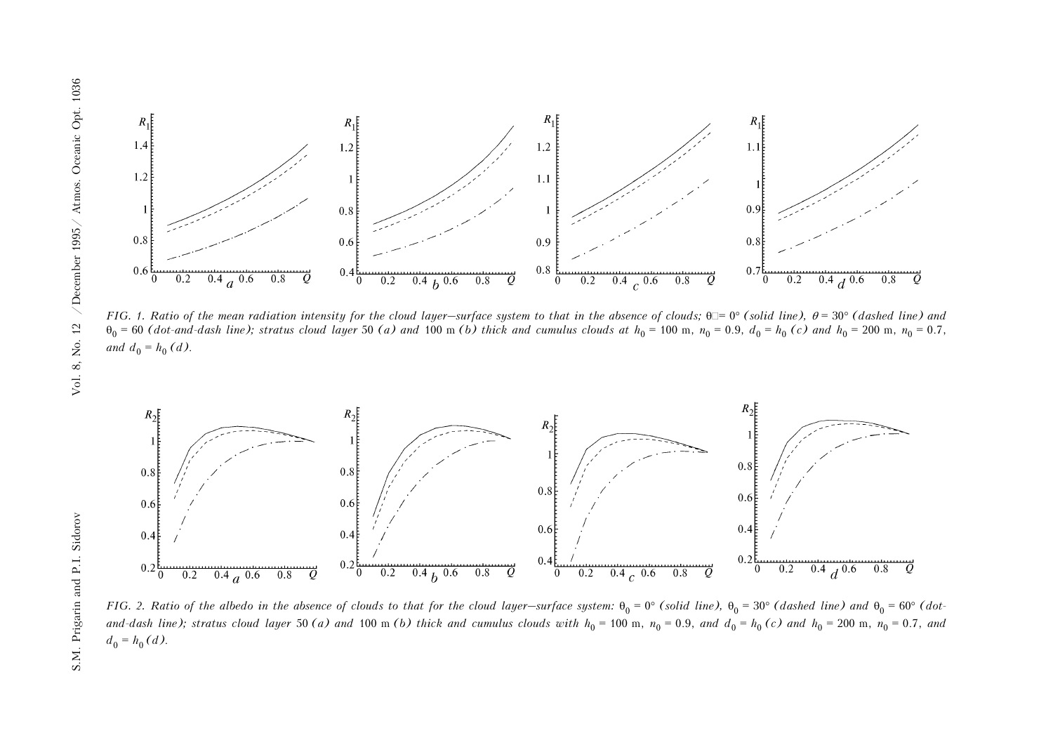

*FIG.* 1. Ratio of the mean radiation intensity for the cloud layer—surface system to that in the absence of clouds;  $\theta = 0^{\circ}$  (solid line),  $\theta = 30^{\circ}$  (dashed line) and  $\theta_0$  = 60 (dot-and-dash line); stratus cloud layer 50 (a) and 100 m (b) thick and cumulus clouds at  $h_0$  = 100 m,  $n_0$  = 0.9,  $d_0$  =  $h_0$  (c) and  $h_0$  = 200 m,  $n_0$  = 0.7, *and*  $d_0 = h_0$  *(d)*.



*FIG.* 2. Ratio of the albedo in the absence of clouds to that for the cloud layer—surface system:  $\theta_0 = 0^\circ$  *(solid line)*,  $\theta_0 = 30^\circ$  *(dashed line)* and  $\theta_0 = 60^\circ$  *(dot*and-dash line); stratus cloud layer 50 (a) and 100 m (b) thick and cumulus clouds with  $h_0 = 100$  m,  $n_0 = 0.9$ , and  $d_0 = h_0(c)$  and  $h_0 = 200$  m,  $n_0 = 0.7$ , and  $d_0 = h_0 (d)$ .